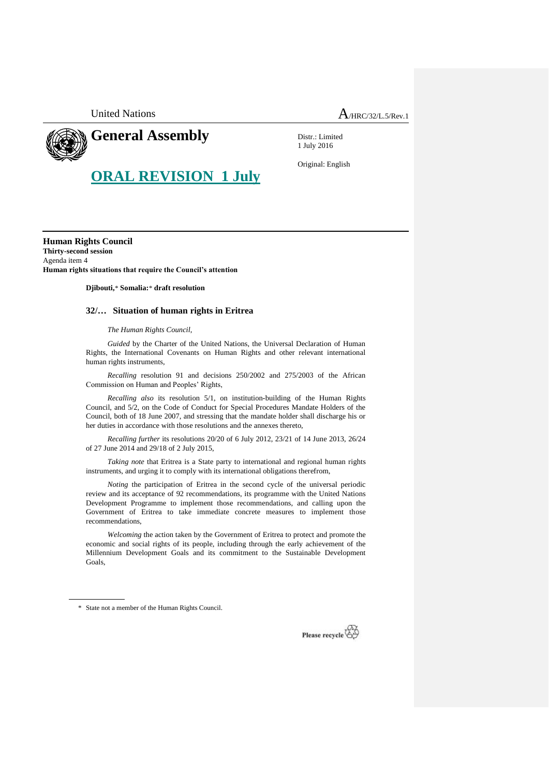United Nations  $A_{HRC/32/L.5/Rev.1}$ 



## **General Assembly**

Distr.: Limited 1 July 2016

**ORAL REVISION 1 July**

Original: English

**Human Rights Council Thirty-second session** Agenda item 4 **Human rights situations that require the Council's attention**

**Djibouti,**\* **Somalia:**\* **draft resolution**

## **32/… Situation of human rights in Eritrea**

*The Human Rights Council*,

*Guided* by the Charter of the United Nations, the Universal Declaration of Human Rights, the International Covenants on Human Rights and other relevant international human rights instruments,

*Recalling* resolution 91 and decisions 250/2002 and 275/2003 of the African Commission on Human and Peoples' Rights,

*Recalling also* its resolution 5/1, on institution-building of the Human Rights Council, and 5/2, on the Code of Conduct for Special Procedures Mandate Holders of the Council, both of 18 June 2007, and stressing that the mandate holder shall discharge his or her duties in accordance with those resolutions and the annexes thereto,

*Recalling further* its resolutions 20/20 of 6 July 2012, 23/21 of 14 June 2013, 26/24 of 27 June 2014 and 29/18 of 2 July 2015,

*Taking note* that Eritrea is a State party to international and regional human rights instruments, and urging it to comply with its international obligations therefrom,

*Noting* the participation of Eritrea in the second cycle of the universal periodic review and its acceptance of 92 recommendations, its programme with the United Nations Development Programme to implement those recommendations, and calling upon the Government of Eritrea to take immediate concrete measures to implement those recommendations,

*Welcoming* the action taken by the Government of Eritrea to protect and promote the economic and social rights of its people, including through the early achievement of the Millennium Development Goals and its commitment to the Sustainable Development Goals,

\* State not a member of the Human Rights Council.

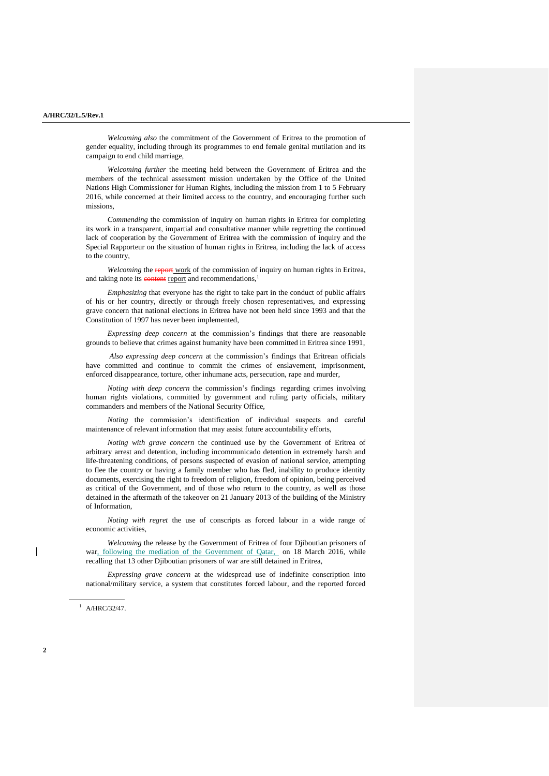*Welcoming also* the commitment of the Government of Eritrea to the promotion of gender equality, including through its programmes to end female genital mutilation and its campaign to end child marriage,

*Welcoming further* the meeting held between the Government of Eritrea and the members of the technical assessment mission undertaken by the Office of the United Nations High Commissioner for Human Rights, including the mission from 1 to 5 February 2016, while concerned at their limited access to the country, and encouraging further such missions,

*Commending* the commission of inquiry on human rights in Eritrea for completing its work in a transparent, impartial and consultative manner while regretting the continued lack of cooperation by the Government of Eritrea with the commission of inquiry and the Special Rapporteur on the situation of human rights in Eritrea, including the lack of access to the country,

*Welcoming* the report work of the commission of inquiry on human rights in Eritrea, and taking note its content report and recommendations,<sup>1</sup>

*Emphasizing* that everyone has the right to take part in the conduct of public affairs of his or her country, directly or through freely chosen representatives, and expressing grave concern that national elections in Eritrea have not been held since 1993 and that the Constitution of 1997 has never been implemented,

*Expressing deep concern* at the commission's findings that there are reasonable grounds to believe that crimes against humanity have been committed in Eritrea since 1991,

*Also expressing deep concern* at the commission's findings that Eritrean officials have committed and continue to commit the crimes of enslavement, imprisonment, enforced disappearance, torture, other inhumane acts, persecution, rape and murder,

*Noting with deep concern* the commission's findings regarding crimes involving human rights violations, committed by government and ruling party officials, military commanders and members of the National Security Office,

*Noting* the commission's identification of individual suspects and careful maintenance of relevant information that may assist future accountability efforts,

*Noting with grave concern* the continued use by the Government of Eritrea of arbitrary arrest and detention, including incommunicado detention in extremely harsh and life-threatening conditions, of persons suspected of evasion of national service, attempting to flee the country or having a family member who has fled, inability to produce identity documents, exercising the right to freedom of religion, freedom of opinion, being perceived as critical of the Government, and of those who return to the country, as well as those detained in the aftermath of the takeover on 21 January 2013 of the building of the Ministry of Information,

*Noting with regret* the use of conscripts as forced labour in a wide range of economic activities,

*Welcoming* the release by the Government of Eritrea of four Djiboutian prisoners of war, following the mediation of the Government of Qatar, on 18 March 2016, while recalling that 13 other Djiboutian prisoners of war are still detained in Eritrea,

*Expressing grave concern* at the widespread use of indefinite conscription into national/military service, a system that constitutes forced labour, and the reported forced

 $1$  A/HRC/32/47.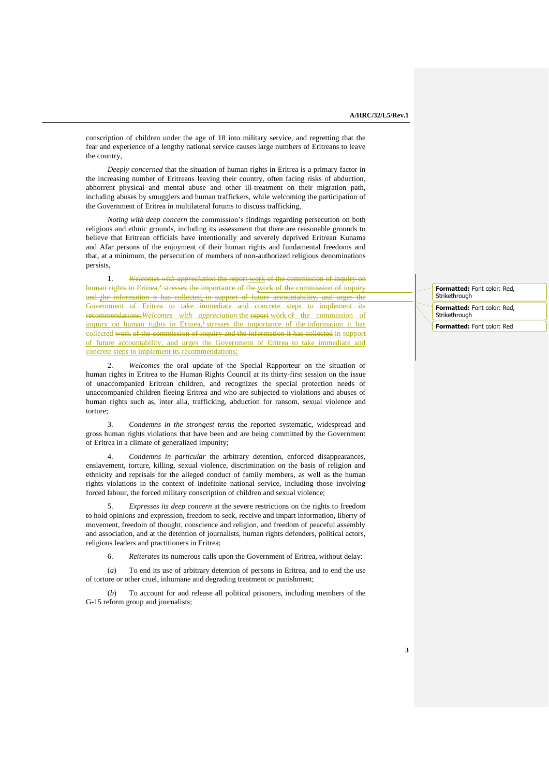conscription of children under the age of 18 into military service, and regretting that the fear and experience of a lengthy national service causes large numbers of Eritreans to leave the country,

*Deeply concerned* that the situation of human rights in Eritrea is a primary factor in the increasing number of Eritreans leaving their country, often facing risks of abduction, abhorrent physical and mental abuse and other ill-treatment on their migration path, including abuses by smugglers and human traffickers, while welcoming the participation of the Government of Eritrea in multilateral forums to discuss trafficking,

*Noting with deep concern* the commission's findings regarding persecution on both religious and ethnic grounds, including its assessment that there are reasonable grounds to believe that Eritrean officials have intentionally and severely deprived Eritrean Kunama and Afar persons of the enjoyment of their human rights and fundamental freedoms and that, at a minimum, the persecution of members of non-authorized religious denominations persists,

1. *Welcomes with appreciation* the report work of the commission of inquiry on human rights in Eritrea,<sup>†</sup>-stresses the importance of the work of the commission of inquiry and the information it has collected in support of future accountability, and urges the Government of Eritrea to take immediate and concrete steps to implement its recommendations;*Welcomes with appreciation* the report work of the commission of inquiry on human rights in Eritrea,<sup>1</sup> stresses the importance of the information it has collected work of the commission of inquiry and the information it has collected in support of future accountability, and urges the Government of Eritrea to take immediate and concrete steps to implement its recommendations;

2. *Welcomes* the oral update of the Special Rapporteur on the situation of human rights in Eritrea to the Human Rights Council at its thirty-first session on the issue of unaccompanied Eritrean children, and recognizes the special protection needs of unaccompanied children fleeing Eritrea and who are subjected to violations and abuses of human rights such as, inter alia, trafficking, abduction for ransom, sexual violence and torture;

3. *Condemns in the strongest terms* the reported systematic, widespread and gross human rights violations that have been and are being committed by the Government of Eritrea in a climate of generalized impunity;

4. *Condemns in particular* the arbitrary detention, enforced disappearances, enslavement, torture, killing, sexual violence, discrimination on the basis of religion and ethnicity and reprisals for the alleged conduct of family members, as well as the human rights violations in the context of indefinite national service, including those involving forced labour, the forced military conscription of children and sexual violence;

5. *Expresses its deep concern* at the severe restrictions on the rights to freedom to hold opinions and expression, freedom to seek, receive and impart information, liberty of movement, freedom of thought, conscience and religion, and freedom of peaceful assembly and association, and at the detention of journalists, human rights defenders, political actors, religious leaders and practitioners in Eritrea;

6. *Reiterates* its numerous calls upon the Government of Eritrea, without delay:

(*a*) To end its use of arbitrary detention of persons in Eritrea, and to end the use of torture or other cruel, inhumane and degrading treatment or punishment;

(*b*) To account for and release all political prisoners, including members of the G-15 reform group and journalists;

**Formatted:** Font color: Red, **Strikethrough** 

**Formatted:** Font color: Red, Strikethrough

**Formatted:** Font color: Red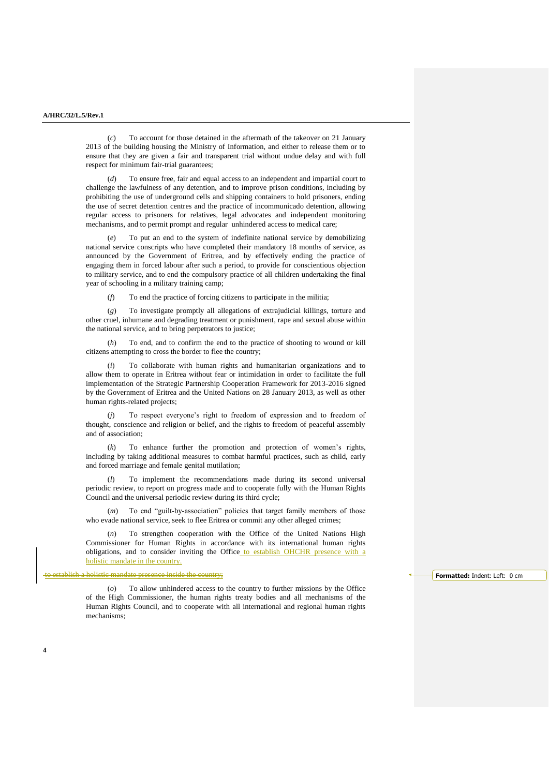(*c*) To account for those detained in the aftermath of the takeover on 21 January 2013 of the building housing the Ministry of Information, and either to release them or to ensure that they are given a fair and transparent trial without undue delay and with full respect for minimum fair-trial guarantees;

(*d*) To ensure free, fair and equal access to an independent and impartial court to challenge the lawfulness of any detention, and to improve prison conditions, including by prohibiting the use of underground cells and shipping containers to hold prisoners, ending the use of secret detention centres and the practice of incommunicado detention, allowing regular access to prisoners for relatives, legal advocates and independent monitoring mechanisms, and to permit prompt and regular unhindered access to medical care;

(*e*) To put an end to the system of indefinite national service by demobilizing national service conscripts who have completed their mandatory 18 months of service, as announced by the Government of Eritrea, and by effectively ending the practice of engaging them in forced labour after such a period, to provide for conscientious objection to military service, and to end the compulsory practice of all children undertaking the final year of schooling in a military training camp;

(*f*) To end the practice of forcing citizens to participate in the militia;

(*g*) To investigate promptly all allegations of extrajudicial killings, torture and other cruel, inhumane and degrading treatment or punishment, rape and sexual abuse within the national service, and to bring perpetrators to justice;

(*h*) To end, and to confirm the end to the practice of shooting to wound or kill citizens attempting to cross the border to flee the country;

(*i*) To collaborate with human rights and humanitarian organizations and to allow them to operate in Eritrea without fear or intimidation in order to facilitate the full implementation of the Strategic Partnership Cooperation Framework for 2013-2016 signed by the Government of Eritrea and the United Nations on 28 January 2013, as well as other human rights-related projects;

(*j*) To respect everyone's right to freedom of expression and to freedom of thought, conscience and religion or belief, and the rights to freedom of peaceful assembly and of association;

(*k*) To enhance further the promotion and protection of women's rights, including by taking additional measures to combat harmful practices, such as child, early and forced marriage and female genital mutilation;

(*l*) To implement the recommendations made during its second universal periodic review, to report on progress made and to cooperate fully with the Human Rights Council and the universal periodic review during its third cycle;

(*m*) To end "guilt-by-association" policies that target family members of those who evade national service, seek to flee Eritrea or commit any other alleged crimes;

(*n*) To strengthen cooperation with the Office of the United Nations High Commissioner for Human Rights in accordance with its international human rights obligations, and to consider inviting the Office to establish OHCHR presence with a holistic mandate in the country.

ence inside the country;

**4**

(*o*) To allow unhindered access to the country to further missions by the Office of the High Commissioner, the human rights treaty bodies and all mechanisms of the Human Rights Council, and to cooperate with all international and regional human rights mechanisms;

**Formatted:** Indent: Left: 0 cm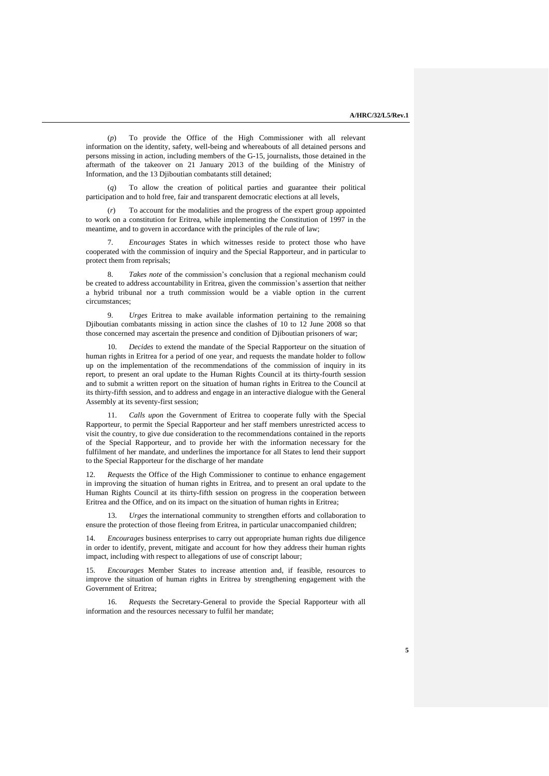(*p*) To provide the Office of the High Commissioner with all relevant information on the identity, safety, well-being and whereabouts of all detained persons and persons missing in action, including members of the G-15, journalists, those detained in the aftermath of the takeover on 21 January 2013 of the building of the Ministry of Information, and the 13 Djiboutian combatants still detained;

(*q*) To allow the creation of political parties and guarantee their political participation and to hold free, fair and transparent democratic elections at all levels,

(*r*) To account for the modalities and the progress of the expert group appointed to work on a constitution for Eritrea, while implementing the Constitution of 1997 in the meantime, and to govern in accordance with the principles of the rule of law;

7. *Encourages* States in which witnesses reside to protect those who have cooperated with the commission of inquiry and the Special Rapporteur, and in particular to protect them from reprisals;

8. *Takes note* of the commission's conclusion that a regional mechanism could be created to address accountability in Eritrea, given the commission's assertion that neither a hybrid tribunal nor a truth commission would be a viable option in the current circumstances;

9. *Urges* Eritrea to make available information pertaining to the remaining Djiboutian combatants missing in action since the clashes of 10 to 12 June 2008 so that those concerned may ascertain the presence and condition of Djiboutian prisoners of war;

10. *Decides* to extend the mandate of the Special Rapporteur on the situation of human rights in Eritrea for a period of one year, and requests the mandate holder to follow up on the implementation of the recommendations of the commission of inquiry in its report, to present an oral update to the Human Rights Council at its thirty-fourth session and to submit a written report on the situation of human rights in Eritrea to the Council at its thirty-fifth session, and to address and engage in an interactive dialogue with the General Assembly at its seventy-first session;

11. *Calls upon* the Government of Eritrea to cooperate fully with the Special Rapporteur, to permit the Special Rapporteur and her staff members unrestricted access to visit the country, to give due consideration to the recommendations contained in the reports of the Special Rapporteur, and to provide her with the information necessary for the fulfilment of her mandate, and underlines the importance for all States to lend their support to the Special Rapporteur for the discharge of her mandate

12. *Requests* the Office of the High Commissioner to continue to enhance engagement in improving the situation of human rights in Eritrea, and to present an oral update to the Human Rights Council at its thirty-fifth session on progress in the cooperation between Eritrea and the Office, and on its impact on the situation of human rights in Eritrea;

13. *Urges* the international community to strengthen efforts and collaboration to ensure the protection of those fleeing from Eritrea, in particular unaccompanied children;

14. *Encourages* business enterprises to carry out appropriate human rights due diligence in order to identify, prevent, mitigate and account for how they address their human rights impact, including with respect to allegations of use of conscript labour;

15. *Encourages* Member States to increase attention and, if feasible, resources to improve the situation of human rights in Eritrea by strengthening engagement with the Government of Eritrea;

16. *Requests* the Secretary-General to provide the Special Rapporteur with all information and the resources necessary to fulfil her mandate;